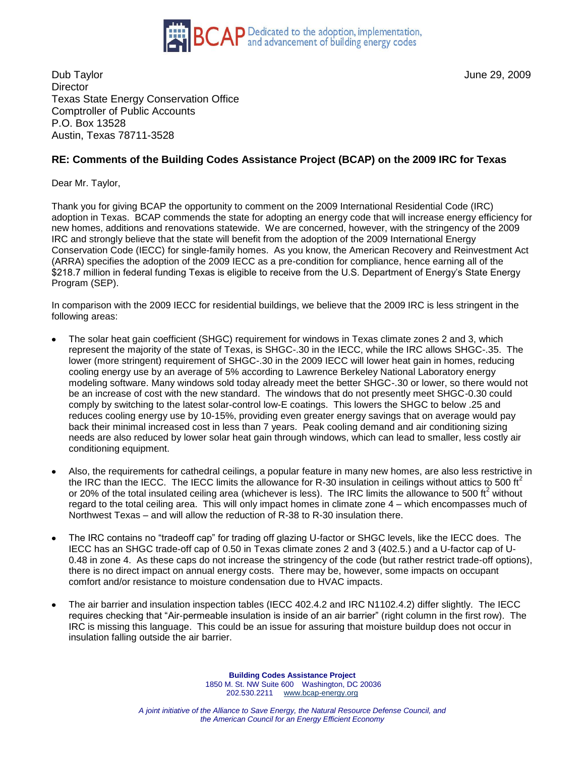

Dub Taylor June 29, 2009 **Director** Texas State Energy Conservation Office Comptroller of Public Accounts P.O. Box 13528 Austin, Texas 78711-3528

## **RE: Comments of the Building Codes Assistance Project (BCAP) on the 2009 IRC for Texas**

Dear Mr. Taylor,

Thank you for giving BCAP the opportunity to comment on the 2009 International Residential Code (IRC) adoption in Texas. BCAP commends the state for adopting an energy code that will increase energy efficiency for new homes, additions and renovations statewide. We are concerned, however, with the stringency of the 2009 IRC and strongly believe that the state will benefit from the adoption of the 2009 International Energy Conservation Code (IECC) for single-family homes. As you know, the American Recovery and Reinvestment Act (ARRA) specifies the adoption of the 2009 IECC as a pre-condition for compliance, hence earning all of the \$218.7 million in federal funding Texas is eligible to receive from the U.S. Department of Energy's State Energy Program (SEP).

In comparison with the 2009 IECC for residential buildings, we believe that the 2009 IRC is less stringent in the following areas:

- The solar heat gain coefficient (SHGC) requirement for windows in Texas climate zones 2 and 3, which represent the majority of the state of Texas, is SHGC-.30 in the IECC, while the IRC allows SHGC-.35. The lower (more stringent) requirement of SHGC-.30 in the 2009 IECC will lower heat gain in homes, reducing cooling energy use by an average of 5% according to Lawrence Berkeley National Laboratory energy modeling software. Many windows sold today already meet the better SHGC-.30 or lower, so there would not be an increase of cost with the new standard. The windows that do not presently meet SHGC-0.30 could comply by switching to the latest solar-control low-E coatings. This lowers the SHGC to below .25 and reduces cooling energy use by 10-15%, providing even greater energy savings that on average would pay back their minimal increased cost in less than 7 years. Peak cooling demand and air conditioning sizing needs are also reduced by lower solar heat gain through windows, which can lead to smaller, less costly air conditioning equipment.
- Also, the requirements for cathedral ceilings, a popular feature in many new homes, are also less restrictive in the IRC than the IECC. The IECC limits the allowance for R-30 insulation in ceilings without attics to 500 ft<sup>2</sup> or 20% of the total insulated ceiling area (whichever is less). The IRC limits the allowance to 500 ft<sup>2</sup> without regard to the total ceiling area. This will only impact homes in climate zone 4 – which encompasses much of Northwest Texas – and will allow the reduction of R-38 to R-30 insulation there.
- The IRC contains no "tradeoff cap" for trading off glazing U-factor or SHGC levels, like the IECC does. The  $\bullet$ IECC has an SHGC trade-off cap of 0.50 in Texas climate zones 2 and 3 (402.5.) and a U-factor cap of U-0.48 in zone 4. As these caps do not increase the stringency of the code (but rather restrict trade-off options), there is no direct impact on annual energy costs. There may be, however, some impacts on occupant comfort and/or resistance to moisture condensation due to HVAC impacts.
- The air barrier and insulation inspection tables (IECC 402.4.2 and IRC N1102.4.2) differ slightly. The IECC requires checking that "Air-permeable insulation is inside of an air barrier" (right column in the first row). The IRC is missing this language. This could be an issue for assuring that moisture buildup does not occur in insulation falling outside the air barrier.

**Building Codes Assistance Project** 1850 M. St. NW Suite 600 Washington, DC 20036 202.530.2211 www.bcap-energy.org